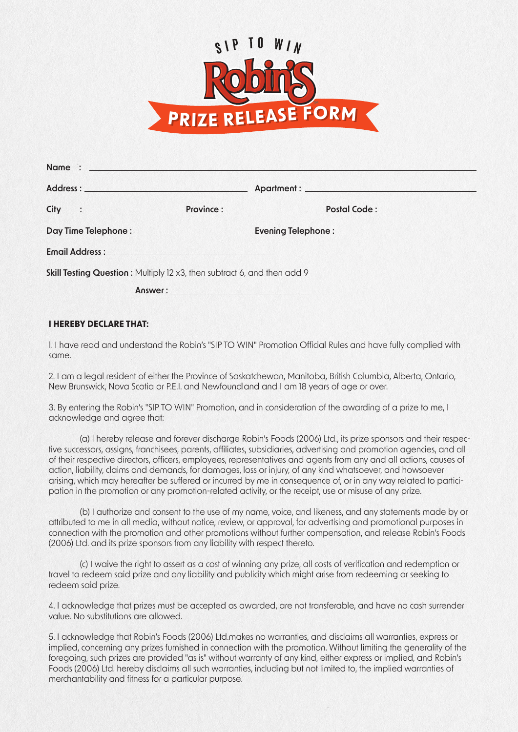

| Address : Note and the set of the set of the set of the set of the set of the set of the set of the set of the set of the set of the set of the set of the set of the set of the set of the set of the set of the set of the s |         |  |
|--------------------------------------------------------------------------------------------------------------------------------------------------------------------------------------------------------------------------------|---------|--|
|                                                                                                                                                                                                                                |         |  |
|                                                                                                                                                                                                                                |         |  |
|                                                                                                                                                                                                                                |         |  |
| Skill Testing Question: Multiply 12 x3, then subtract 6, and then add 9                                                                                                                                                        |         |  |
|                                                                                                                                                                                                                                | Answer: |  |

## **I HEREBY DECLARE THAT:**

1. I have read and understand the Robin's "SIP TO WIN" Promotion Official Rules and have fully complied with same.

2. I am a legal resident of either the Province of Saskatchewan, Manitoba, British Columbia, Alberta, Ontario, New Brunswick, Nova Scotia or P.E.I. and Newfoundland and I am 18 years of age or over.

3. By entering the Robin's "SIP TO WIN" Promotion, and in consideration of the awarding of a prize to me, I acknowledge and agree that:

 (a) I hereby release and forever discharge Robin's Foods (2006) Ltd., its prize sponsors and their respective successors, assigns, franchisees, parents, affiliates, subsidiaries, advertising and promotion agencies, and all of their respective directors, officers, employees, representatives and agents from any and all actions, causes of action, liability, claims and demands, for damages, loss or injury, of any kind whatsoever, and howsoever arising, which may hereafter be suffered or incurred by me in consequence of, or in any way related to participation in the promotion or any promotion-related activity, or the receipt, use or misuse of any prize.

 (b) I authorize and consent to the use of my name, voice, and likeness, and any statements made by or attributed to me in all media, without notice, review, or approval, for advertising and promotional purposes in connection with the promotion and other promotions without further compensation, and release Robin's Foods (2006) Ltd. and its prize sponsors from any liability with respect thereto.

 (c) I waive the right to assert as a cost of winning any prize, all costs of verification and redemption or travel to redeem said prize and any liability and publicity which might arise from redeeming or seeking to redeem said prize.

4. I acknowledge that prizes must be accepted as awarded, are not transferable, and have no cash surrender value. No substitutions are allowed.

5. I acknowledge that Robin's Foods (2006) Ltd.makes no warranties, and disclaims all warranties, express or implied, concerning any prizes furnished in connection with the promotion. Without limiting the generality of the foregoing, such prizes are provided "as is" without warranty of any kind, either express or implied, and Robin's Foods (2006) Ltd. hereby disclaims all such warranties, including but not limited to, the implied warranties of merchantability and fitness for a particular purpose.